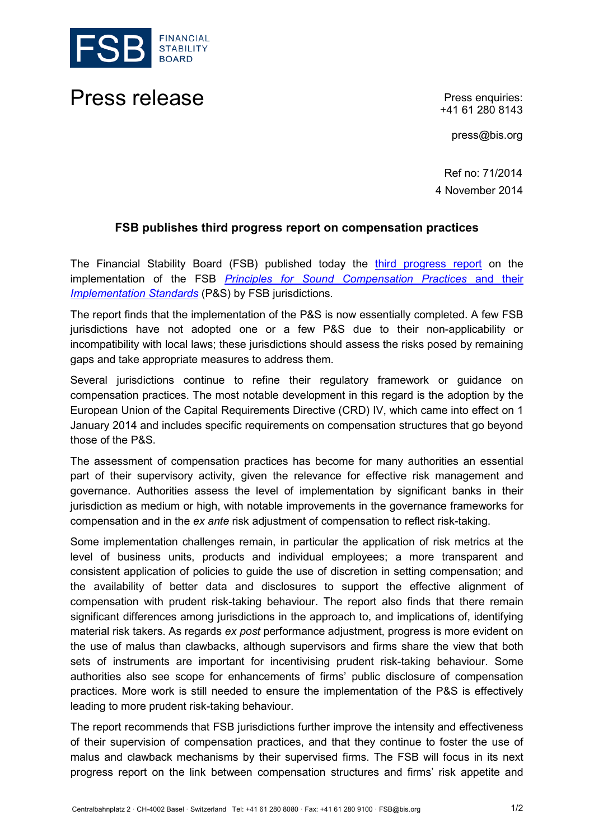

Press release **Press release** Press enquiries:

+41 61 280 8143

press@bis.org

Ref no: 71/2014 4 November 2014

## **FSB publishes third progress report on compensation practices**

The Financial Stability Board (FSB) published today the [third progress report](http://www.financialstabilityboard.org/fsb_embargo/r_141103.htm) on the implementation of the FSB *[Principles for Sound Compensation Practices](http://www.financialstabilityboard.org/activities/compensation/index.htm)* and their *[Implementation Standards](http://www.financialstabilityboard.org/activities/compensation/index.htm)* (P&S) by FSB jurisdictions*.*

The report finds that the implementation of the P&S is now essentially completed. A few FSB jurisdictions have not adopted one or a few P&S due to their non-applicability or incompatibility with local laws; these jurisdictions should assess the risks posed by remaining gaps and take appropriate measures to address them.

Several jurisdictions continue to refine their regulatory framework or guidance on compensation practices. The most notable development in this regard is the adoption by the European Union of the Capital Requirements Directive (CRD) IV, which came into effect on 1 January 2014 and includes specific requirements on compensation structures that go beyond those of the P&S.

The assessment of compensation practices has become for many authorities an essential part of their supervisory activity, given the relevance for effective risk management and governance. Authorities assess the level of implementation by significant banks in their jurisdiction as medium or high, with notable improvements in the governance frameworks for compensation and in the *ex ante* risk adjustment of compensation to reflect risk-taking.

Some implementation challenges remain, in particular the application of risk metrics at the level of business units, products and individual employees; a more transparent and consistent application of policies to guide the use of discretion in setting compensation; and the availability of better data and disclosures to support the effective alignment of compensation with prudent risk-taking behaviour. The report also finds that there remain significant differences among jurisdictions in the approach to, and implications of, identifying material risk takers. As regards *ex post* performance adjustment, progress is more evident on the use of malus than clawbacks, although supervisors and firms share the view that both sets of instruments are important for incentivising prudent risk-taking behaviour. Some authorities also see scope for enhancements of firms' public disclosure of compensation practices. More work is still needed to ensure the implementation of the P&S is effectively leading to more prudent risk-taking behaviour.

The report recommends that FSB jurisdictions further improve the intensity and effectiveness of their supervision of compensation practices, and that they continue to foster the use of malus and clawback mechanisms by their supervised firms. The FSB will focus in its next progress report on the link between compensation structures and firms' risk appetite and